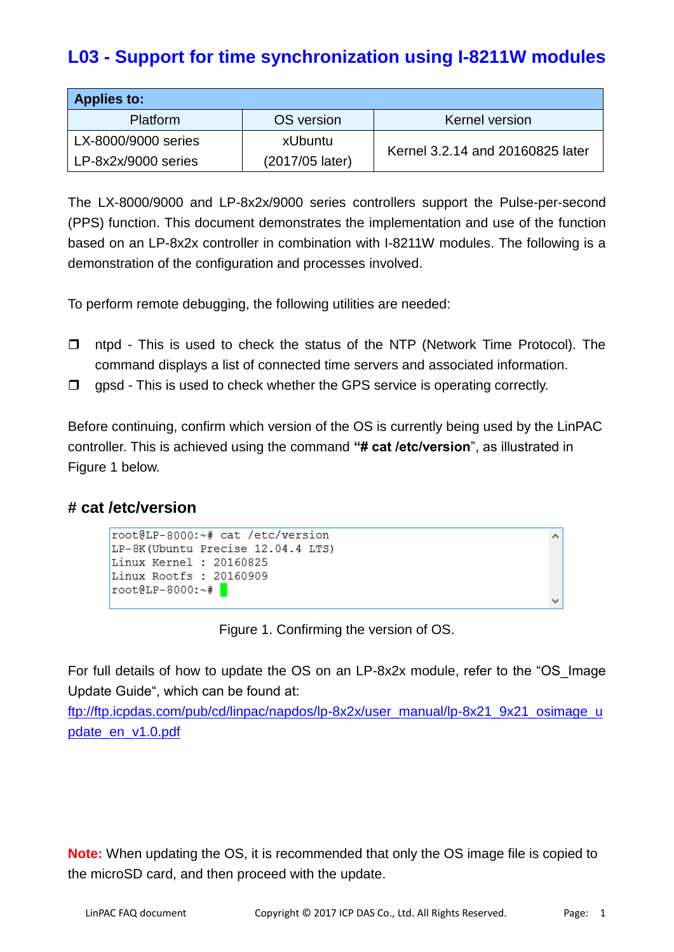# **L03 - Support for time synchronization using I-8211W modules**

| <b>Applies to:</b>  |                 |                                  |  |  |  |  |  |
|---------------------|-----------------|----------------------------------|--|--|--|--|--|
| Platform            | OS version      | Kernel version                   |  |  |  |  |  |
| LX-8000/9000 series | <b>xUbuntu</b>  | Kernel 3.2.14 and 20160825 later |  |  |  |  |  |
| LP-8x2x/9000 series | (2017/05 later) |                                  |  |  |  |  |  |

The LX-8000/9000 and LP-8x2x/9000 series controllers support the Pulse-per-second (PPS) function. This document demonstrates the implementation and use of the function based on an LP-8x2x controller in combination with I-8211W modules. The following is a demonstration of the configuration and processes involved.

To perform remote debugging, the following utilities are needed:

- $\Box$  ntpd This is used to check the status of the NTP (Network Time Protocol). The command displays a list of connected time servers and associated information.
- $\Box$  gpsd This is used to check whether the GPS service is operating correctly.

Before continuing, confirm which version of the OS is currently being used by the LinPAC controller. This is achieved using the command **"# cat /etc/version**", as illustrated in Figure 1 below.

#### **# cat /etc/version**

```
root@LP-8000:~# cat /etc/version
LP-8K (Ubuntu Precise 12.04.4 LTS)
Linux Kernel : 20160825
Linux Rootfs: 20160909
root@LP-8000:-+
```
Figure 1. Confirming the version of OS.

For full details of how to update the OS on an LP-8x2x module, refer to the "OS\_Image Update Guide", which can be found at:

[ftp://ftp.icpdas.com/pub/cd/linpac/napdos/lp-8x2x/user\\_manual/lp-8x21\\_9x21\\_osimage\\_u](ftp://ftp.icpdas.com/pub/cd/linpac/napdos/lp-8x2x/user_manual/lp-8x21_9x21_osimage_update_en_v1.0.pdf) [pdate\\_en\\_v1.0.pdf](ftp://ftp.icpdas.com/pub/cd/linpac/napdos/lp-8x2x/user_manual/lp-8x21_9x21_osimage_update_en_v1.0.pdf)

**Note:** When updating the OS, it is recommended that only the OS image file is copied to the microSD card, and then proceed with the update.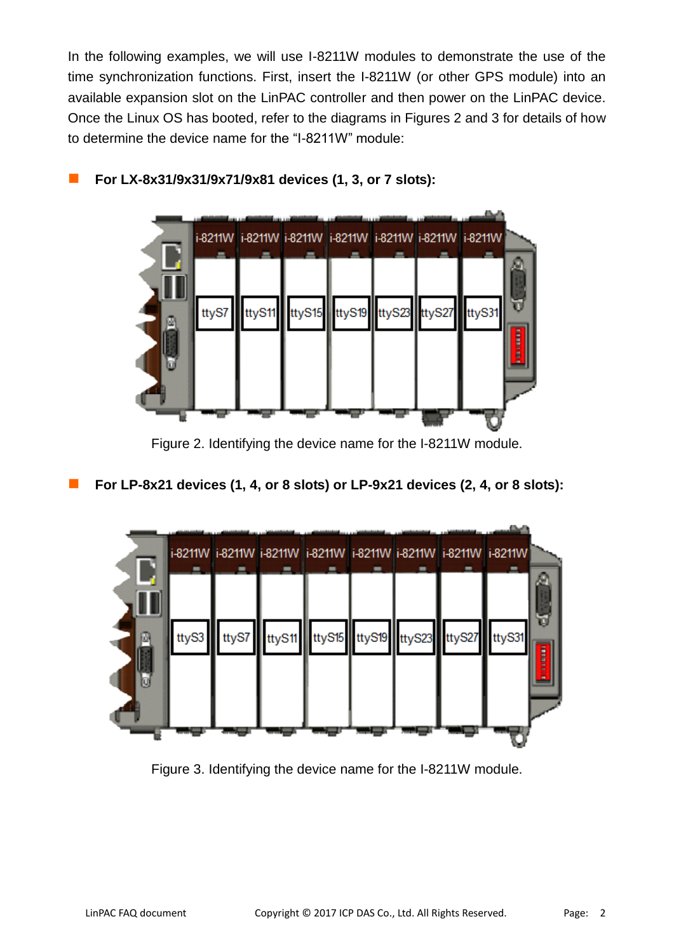In the following examples, we will use I-8211W modules to demonstrate the use of the time synchronization functions. First, insert the I-8211W (or other GPS module) into an available expansion slot on the LinPAC controller and then power on the LinPAC device. Once the Linux OS has booted, refer to the diagrams in Figures 2 and 3 for details of how to determine the device name for the "I-8211W" module:



**For LX-8x31/9x31/9x71/9x81 devices (1, 3, or 7 slots):**

Figure 2. Identifying the device name for the I-8211W module.

**For LP-8x21 devices (1, 4, or 8 slots) or LP-9x21 devices (2, 4, or 8 slots):**



Figure 3. Identifying the device name for the I-8211W module.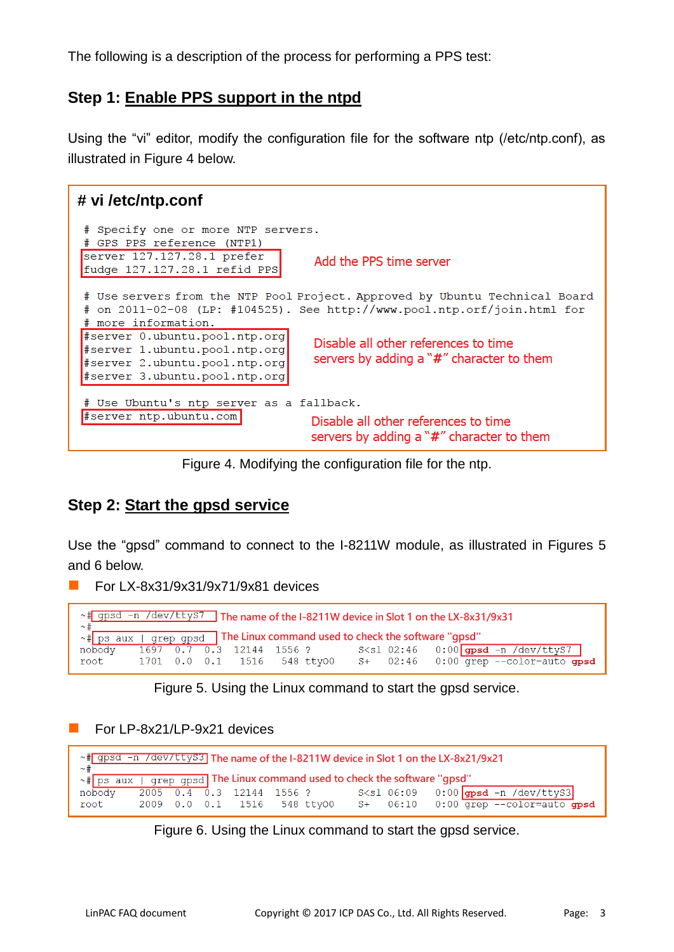The following is a description of the process for performing a PPS test:

### **Step 1: Enable PPS support in the ntpd**

Using the "vi" editor, modify the configuration file for the software ntp (/etc/ntp.conf), as illustrated in Figure 4 below.



Figure 4. Modifying the configuration file for the ntp.

### **Step 2: Start the gpsd service**

Use the "gpsd" command to connect to the I-8211W module, as illustrated in Figures 5 and 6 below.

For LX-8x31/9x31/9x71/9x81 devices

| ~ # gpsd -n /dev/ttys7 The name of the I-8211W device in Slot 1 on the LX-8x31/9x31<br>$\sim$ $+$        |  |  |  |                             |  |  |  |  |                                                                                                                     |
|----------------------------------------------------------------------------------------------------------|--|--|--|-----------------------------|--|--|--|--|---------------------------------------------------------------------------------------------------------------------|
| $\sim$ # ps aux $\sqrt{gx + g}$ grep gpsd $\sqrt{g}$ The Linux command used to check the software "qpsd" |  |  |  |                             |  |  |  |  |                                                                                                                     |
| nobody                                                                                                   |  |  |  |                             |  |  |  |  | $\frac{1697}{0.7}$ $\frac{0.7}{0.3}$ 12144 1556 ? S <sl -n="" 02:46="" 0:00="" dev="" gpsd="" td="" ttys7<=""></sl> |
| root                                                                                                     |  |  |  | 1701 0.0 0.1 1516 548 tty00 |  |  |  |  | $S+$ 02:46 0:00 grep $--$ color=auto gpsd                                                                           |

Figure 5. Using the Linux command to start the gpsd service.

For LP-8x21/LP-9x21 devices

| ~# gpsd -n /dev/ttyS3 The name of the I-8211W device in Slot 1 on the LX-8x21/9x21<br>$\sim \pm$ |  |  |  |                             |  |  |  |  |                                                                                                         |
|--------------------------------------------------------------------------------------------------|--|--|--|-----------------------------|--|--|--|--|---------------------------------------------------------------------------------------------------------|
| $\sim$ $\sqrt{ps}$ aux $\sqrt{gs}$ grep gpsd The Linux command used to check the software "gpsd" |  |  |  |                             |  |  |  |  |                                                                                                         |
| nobody                                                                                           |  |  |  |                             |  |  |  |  | $\frac{1}{2005}$ 0.4 0.3 12144 1556 ? S <s1 -n="" 06:09="" 0:00="" dev="" gpsd="" td="" ttys3<=""></s1> |
| root                                                                                             |  |  |  | 2009 0.0 0.1 1516 548 tty00 |  |  |  |  | $S+$ 06:10 0:00 grep --color=auto gpsd                                                                  |

Figure 6. Using the Linux command to start the gpsd service.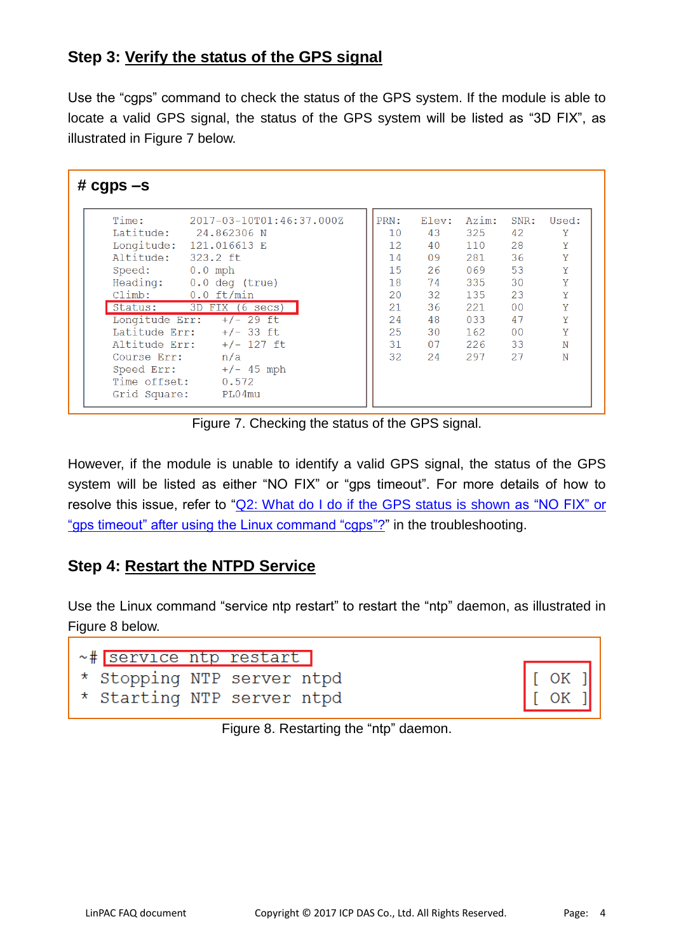## **Step 3: Verify the status of the GPS signal**

Use the "cgps" command to check the status of the GPS system. If the module is able to locate a valid GPS signal, the status of the GPS system will be listed as "3D FIX", as illustrated in Figure 7 below.

| # $cgps -s$    |                           |  |          |       |       |                |       |
|----------------|---------------------------|--|----------|-------|-------|----------------|-------|
| Time:          | 2017-03-10T01:46:37.000Z  |  | PRN:     | Elev: | Azim: | SNR:           | Used: |
|                | Latitude: 24.862306 N     |  | 10       | 43    | 325   | 42             | Y     |
| Longitude:     | 121.016613 E              |  | $12^{1}$ | 40    | 110   | 28             | Y     |
| Altitude:      | 323.2 ft                  |  | 14       | 09    | 281   | 36             | Y     |
| Speed: 0.0 mph |                           |  | 15       | 26    | 069   | 53             | Y     |
|                | Heading: 0.0 deg (true)   |  | 18       | 74    | 335   | 30             | Y     |
|                | Climb: 0.0 ft/min         |  | 20       | 32    | 135   | 23             | Υ     |
|                | Status: 3D FIX (6 secs)   |  | 21       | 36    | 221   | 0 <sub>0</sub> | Y     |
| Longitude Err: | +/- 29 ft                 |  | 24       | 48    | 033   | 47             | Y     |
|                | Latitude Err: $+/- 33$ ft |  | 25       | 30    | 162   | 0 <sub>0</sub> | Y     |
| Altitude Err:  | +/- 127 ft                |  | 31       | 07    | 226   | 33             | N     |
| Course Err:    | n/a                       |  | 32       | 24    | 297   | 27             | N     |
|                | Speed Err: $+/- 45$ mph   |  |          |       |       |                |       |
| Time offset:   | 0.572                     |  |          |       |       |                |       |
| Grid Square:   | PL04mu                    |  |          |       |       |                |       |

Figure 7. Checking the status of the GPS signal.

However, if the module is unable to identify a valid GPS signal, the status of the GPS system will be listed as either "NO FIX" or "gps timeout". For more details of how to resolve this issue, refer to ["Q2: What do I do if](#page-4-0) the GPS status is shown as "NO FIX" or "gps timeout" [after using the Linux command "cgps"?"](#page-4-0) in the troubleshooting.

## **Step 4: Restart the NTPD Service**

Use the Linux command "service ntp restart" to restart the "ntp" daemon, as illustrated in Figure 8 below.

| ~# service ntp restart     |  |  |
|----------------------------|--|--|
| * Stopping NTP server ntpd |  |  |
| * Starting NTP server ntpd |  |  |

OK OK

Figure 8. Restarting the "ntp" daemon.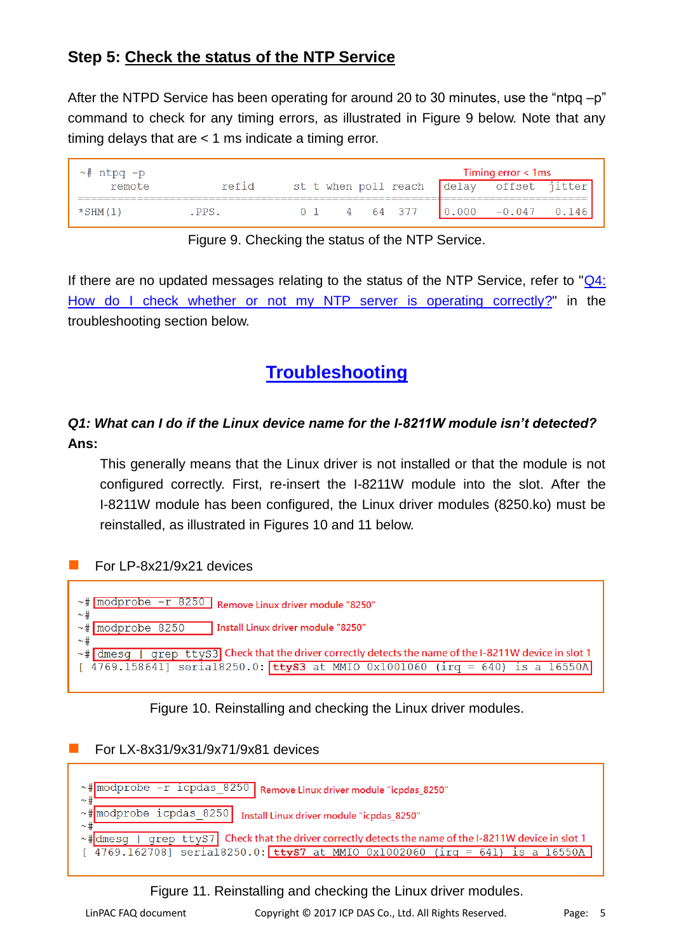# **Step 5: Check the status of the NTP Service**

After the NTPD Service has been operating for around 20 to 30 minutes, use the "ntpq –p" command to check for any timing errors, as illustrated in Figure 9 below. Note that any timing delays that are  $<$  1 ms indicate a timing error.

| $\sim$ # ntpg -p |       |          | Timing error < 1ms                             |
|------------------|-------|----------|------------------------------------------------|
| remote           | refid |          | st t when poll reach delay offset jitter       |
|                  |       |          |                                                |
| $\star$ SHM(1)   | PPS   | 4 64 377 | $\begin{bmatrix} 0.000 & -0.047 \end{bmatrix}$ |

|  | Figure 9. Checking the status of the NTP Service. |
|--|---------------------------------------------------|
|--|---------------------------------------------------|

If there are no updated messages relating to the status of the NTP Service, refer to ["Q4:](#page-5-0)  [How do I check whether or not my NTP server is operating correctly?"](#page-5-0) in the troubleshooting section below.

# **Troubleshooting**

### <span id="page-4-1"></span>*Q1: What can I do if the Linux device name for the I-8211W module isn't detected?* **Ans:**

This generally means that the Linux driver is not installed or that the module is not configured correctly. First, re-insert the I-8211W module into the slot. After the I-8211W module has been configured, the Linux driver modules (8250.ko) must be reinstalled, as illustrated in Figures 10 and 11 below.

#### For LP-8x21/9x21 devices



<span id="page-4-0"></span>Figure 10. Reinstalling and checking the Linux driver modules.

For LX-8x31/9x31/9x71/9x81 devices



Figure 11. Reinstalling and checking the Linux driver modules.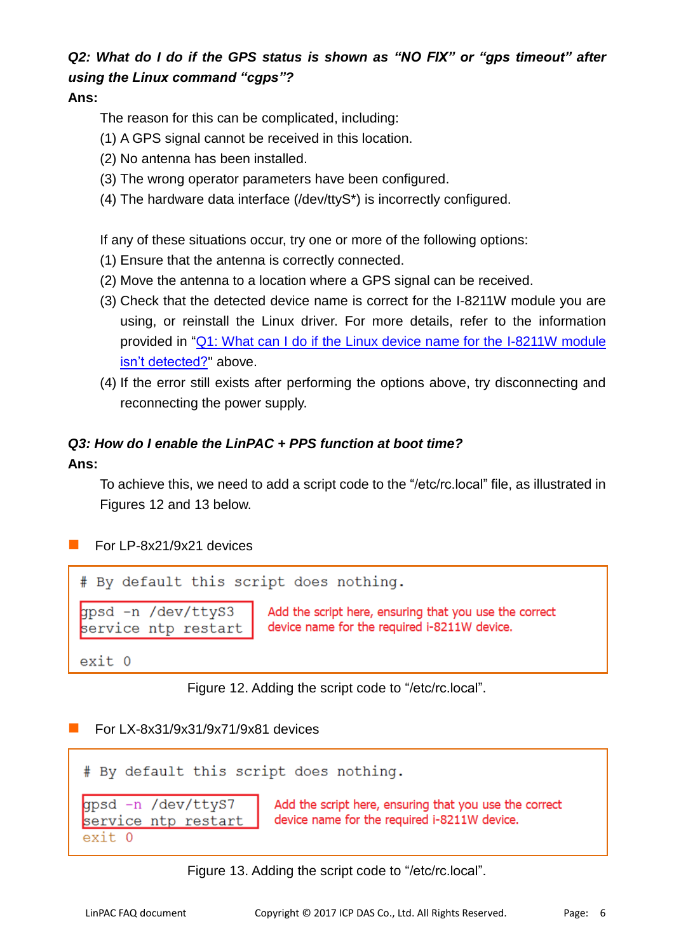# *Q2: What do I do if the GPS status is shown as "NO FIX" or "gps timeout" after using the Linux command "cgps"?*

#### **Ans:**

The reason for this can be complicated, including:

- (1) A GPS signal cannot be received in this location.
- (2) No antenna has been installed.
- (3) The wrong operator parameters have been configured.
- (4) The hardware data interface (/dev/ttyS\*) is incorrectly configured.

If any of these situations occur, try one or more of the following options:

- (1) Ensure that the antenna is correctly connected.
- (2) Move the antenna to a location where a GPS signal can be received.
- (3) Check that the detected device name is correct for the I-8211W module you are using, or reinstall the Linux driver. For more details, refer to the information provided in "Q1: What can I do if [the Linux device name for the I-8211W module](#page-4-1)  [isn't detected?"](#page-4-1) above.
- (4) If the error still exists after performing the options above, try disconnecting and reconnecting the power supply.

# *Q3: How do I enable the LinPAC + PPS function at boot time?*

#### **Ans:**

To achieve this, we need to add a script code to the "/etc/rc.local" file, as illustrated in Figures 12 and 13 below.

#### For LP-8x21/9x21 devices

# By default this script does nothing. gpsd -n /dev/ttyS3 Add the script here, ensuring that you use the correct device name for the required i-8211W device. service ntp restart

 $exit<sub>0</sub>$ 

Figure 12. Adding the script code to "/etc/rc.local".

#### For LX-8x31/9x31/9x71/9x81 devices

<span id="page-5-0"></span>

Figure 13. Adding the script code to "/etc/rc.local".